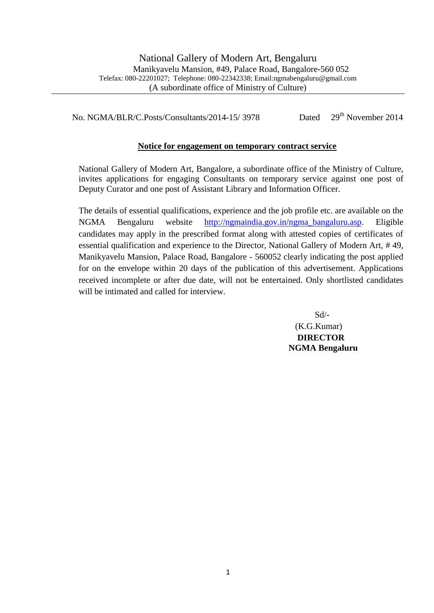No. NGMA/BLR/C.Posts/Consultants/2014-15/ 3978 Dated 29<sup>th</sup> November 2014

## **Notice for engagement on temporary contract service**

National Gallery of Modern Art, Bangalore, a subordinate office of the Ministry of Culture, invites applications for engaging Consultants on temporary service against one post of Deputy Curator and one post of Assistant Library and Information Officer.

The details of essential qualifications, experience and the job profile etc. are available on the NGMA Bengaluru website [http://ngmaindia.gov.in/ngma\\_bangaluru.asp.](http://ngmaindia.gov.in/ngma_bangaluru.asp) Eligible candidates may apply in the prescribed format along with attested copies of certificates of essential qualification and experience to the Director, National Gallery of Modern Art, # 49, Manikyavelu Mansion, Palace Road, Bangalore - 560052 clearly indicating the post applied for on the envelope within 20 days of the publication of this advertisement. Applications received incomplete or after due date, will not be entertained. Only shortlisted candidates will be intimated and called for interview.

> Sd/- (K.G.Kumar) **DIRECTOR NGMA Bengaluru**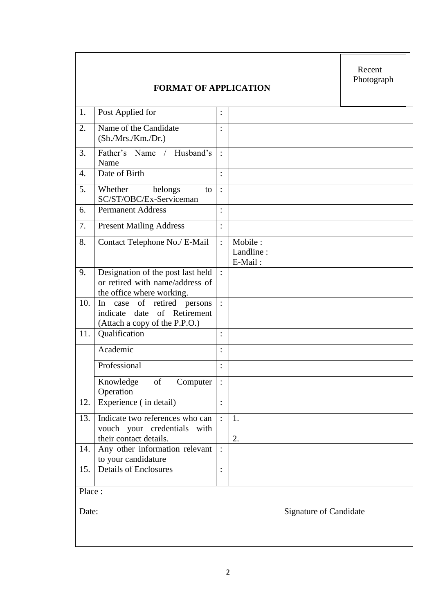|                  | <b>FORMAT OF APPLICATION</b>                                                                        |                |                                 | Recent<br>Photograph          |
|------------------|-----------------------------------------------------------------------------------------------------|----------------|---------------------------------|-------------------------------|
| 1.               | Post Applied for                                                                                    | $\ddot{\cdot}$ |                                 |                               |
| 2.               | Name of the Candidate<br>(Sh./Mrs./ Km./Dr.)                                                        | $\ddot{\cdot}$ |                                 |                               |
| 3.               | Father's Name / Husband's<br>Name                                                                   |                |                                 |                               |
| $\overline{4}$ . | Date of Birth                                                                                       | $\ddot{\cdot}$ |                                 |                               |
| 5.               | Whether<br>belongs<br>to<br>SC/ST/OBC/Ex-Serviceman                                                 | $\vdots$       |                                 |                               |
| 6.               | <b>Permanent Address</b>                                                                            |                |                                 |                               |
| 7.               | <b>Present Mailing Address</b>                                                                      | :              |                                 |                               |
| 8.               | Contact Telephone No./ E-Mail                                                                       | $\ddot{\cdot}$ | Mobile:<br>Landline:<br>E-Mail: |                               |
| 9.               | Designation of the post last held<br>or retired with name/address of<br>the office where working.   | $\cdot$ :      |                                 |                               |
| 10.              | case of<br>retired<br>In<br>persons<br>indicate date of Retirement<br>(Attach a copy of the P.P.O.) | $\cdot$        |                                 |                               |
| 11.              | Qualification                                                                                       | $\ddot{\cdot}$ |                                 |                               |
|                  | Academic                                                                                            | $\ddot{\cdot}$ |                                 |                               |
|                  | Professional                                                                                        | $\ddot{\cdot}$ |                                 |                               |
|                  | Knowledge<br>of<br>Computer<br>Operation                                                            | $\,$ .         |                                 |                               |
| 12.              | Experience (in detail)                                                                              | $\ddot{\cdot}$ |                                 |                               |
| 13.              | Indicate two references who can<br>vouch your credentials with<br>their contact details.            |                | 1.<br>2.                        |                               |
| 14.              | Any other information relevant<br>to your candidature                                               |                |                                 |                               |
| 15.              | <b>Details of Enclosures</b>                                                                        | $\ddot{\cdot}$ |                                 |                               |
| Place:           |                                                                                                     |                |                                 |                               |
| Date:            |                                                                                                     |                |                                 | <b>Signature of Candidate</b> |

 $\overline{ }$ 

 $\mathsf{r}$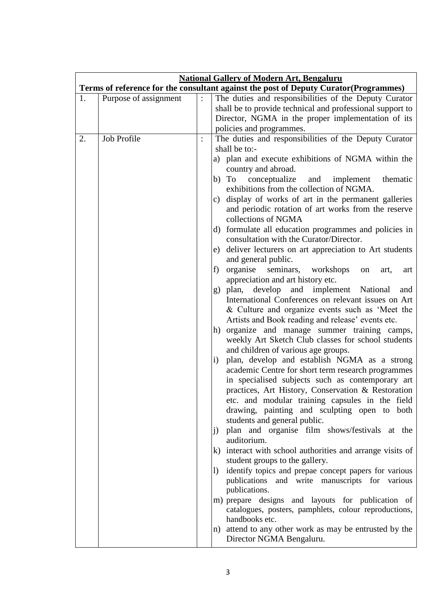| <b>National Gallery of Modern Art, Bengaluru</b> |                       |                |                                                                                       |
|--------------------------------------------------|-----------------------|----------------|---------------------------------------------------------------------------------------|
|                                                  |                       |                | Terms of reference for the consultant against the post of Deputy Curator (Programmes) |
| 1.                                               | Purpose of assignment |                | The duties and responsibilities of the Deputy Curator                                 |
|                                                  |                       |                | shall be to provide technical and professional support to                             |
|                                                  |                       |                | Director, NGMA in the proper implementation of its                                    |
|                                                  |                       |                | policies and programmes.                                                              |
| 2.                                               | Job Profile           | $\ddot{\cdot}$ | The duties and responsibilities of the Deputy Curator                                 |
|                                                  |                       |                | shall be to:-                                                                         |
|                                                  |                       |                | a) plan and execute exhibitions of NGMA within the<br>country and abroad.             |
|                                                  |                       |                | b) To<br>conceptualize and implement<br>thematic                                      |
|                                                  |                       |                | exhibitions from the collection of NGMA.                                              |
|                                                  |                       |                | c) display of works of art in the permanent galleries                                 |
|                                                  |                       |                | and periodic rotation of art works from the reserve                                   |
|                                                  |                       |                | collections of NGMA                                                                   |
|                                                  |                       |                | d) formulate all education programmes and policies in                                 |
|                                                  |                       |                | consultation with the Curator/Director.                                               |
|                                                  |                       |                | e) deliver lecturers on art appreciation to Art students                              |
|                                                  |                       |                | and general public.                                                                   |
|                                                  |                       |                | organise seminars,<br>f)<br>workshops<br>on<br>art,<br>art                            |
|                                                  |                       |                | appreciation and art history etc.<br>g) plan, develop and implement National<br>and   |
|                                                  |                       |                | International Conferences on relevant issues on Art                                   |
|                                                  |                       |                | & Culture and organize events such as 'Meet the                                       |
|                                                  |                       |                | Artists and Book reading and release' events etc.                                     |
|                                                  |                       |                | h) organize and manage summer training camps,                                         |
|                                                  |                       |                | weekly Art Sketch Club classes for school students                                    |
|                                                  |                       |                | and children of various age groups.                                                   |
|                                                  |                       |                | plan, develop and establish NGMA as a strong<br>$\mathbf{i}$                          |
|                                                  |                       |                | academic Centre for short term research programmes                                    |
|                                                  |                       |                | in specialised subjects such as contemporary art                                      |
|                                                  |                       |                | practices, Art History, Conservation & Restoration                                    |
|                                                  |                       |                | etc. and modular training capsules in the field                                       |
|                                                  |                       |                | drawing, painting and sculpting open to both<br>students and general public.          |
|                                                  |                       |                | plan and organise film shows/festivals at the<br>j)                                   |
|                                                  |                       |                | auditorium.                                                                           |
|                                                  |                       |                | k) interact with school authorities and arrange visits of                             |
|                                                  |                       |                | student groups to the gallery.                                                        |
|                                                  |                       |                | identify topics and prepae concept papers for various<br>$\left( \right)$             |
|                                                  |                       |                | publications and write manuscripts for various                                        |
|                                                  |                       |                | publications.                                                                         |
|                                                  |                       |                | m) prepare designs and layouts for publication of                                     |
|                                                  |                       |                | catalogues, posters, pamphlets, colour reproductions,<br>handbooks etc.               |
|                                                  |                       |                | n) attend to any other work as may be entrusted by the                                |
|                                                  |                       |                | Director NGMA Bengaluru.                                                              |
|                                                  |                       |                |                                                                                       |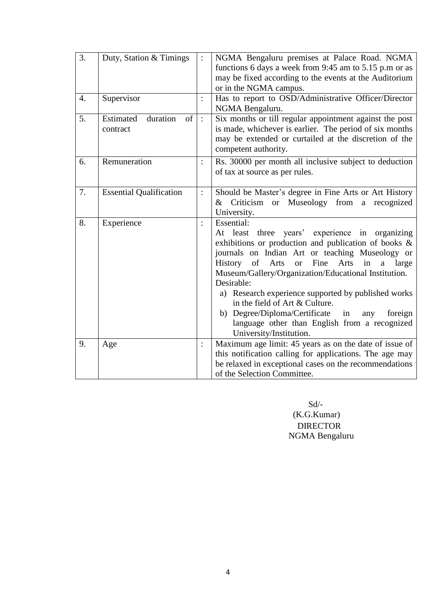| 3.               | Duty, Station & Timings                   |                      | NGMA Bengaluru premises at Palace Road. NGMA<br>functions 6 days a week from 9:45 am to 5.15 p.m or as                                                                                                                                                                                                                                                                                                                                                                                                                                                                                                                                                        |
|------------------|-------------------------------------------|----------------------|---------------------------------------------------------------------------------------------------------------------------------------------------------------------------------------------------------------------------------------------------------------------------------------------------------------------------------------------------------------------------------------------------------------------------------------------------------------------------------------------------------------------------------------------------------------------------------------------------------------------------------------------------------------|
|                  |                                           |                      | may be fixed according to the events at the Auditorium<br>or in the NGMA campus.                                                                                                                                                                                                                                                                                                                                                                                                                                                                                                                                                                              |
| $\overline{4}$ . | Supervisor                                | $\ddot{\cdot}$       | Has to report to OSD/Administrative Officer/Director<br>NGMA Bengaluru.                                                                                                                                                                                                                                                                                                                                                                                                                                                                                                                                                                                       |
| 5.               | duration<br>Estimated<br>of  <br>contract | $\pm$                | Six months or till regular appointment against the post<br>is made, whichever is earlier. The period of six months<br>may be extended or curtailed at the discretion of the<br>competent authority.                                                                                                                                                                                                                                                                                                                                                                                                                                                           |
| 6.               | Remuneration                              | $\ddot{\phantom{a}}$ | Rs. 30000 per month all inclusive subject to deduction<br>of tax at source as per rules.                                                                                                                                                                                                                                                                                                                                                                                                                                                                                                                                                                      |
| 7.               | <b>Essential Qualification</b>            | $\ddot{\cdot}$       | Should be Master's degree in Fine Arts or Art History<br>Criticism or Museology from a recognized<br>$\&$<br>University.                                                                                                                                                                                                                                                                                                                                                                                                                                                                                                                                      |
| 8.               | Experience                                | $\ddot{\cdot}$       | Essential:<br>At least three years' experience in organizing<br>exhibitions or production and publication of books &<br>journals on Indian Art or teaching Museology or<br>$% \left( \left( \mathcal{A},\mathcal{A}\right) \right) =\left( \mathcal{A},\mathcal{A}\right)$ of<br>Fine<br>Arts<br>Arts<br><sub>or</sub><br>in<br><b>History</b><br>large<br>a<br>Museum/Gallery/Organization/Educational Institution.<br>Desirable:<br>a) Research experience supported by published works<br>in the field of Art & Culture.<br>b) Degree/Diploma/Certificate in<br>foreign<br>any<br>language other than English from a recognized<br>University/Institution. |
| 9.               | Age                                       | $\ddot{\phantom{a}}$ | Maximum age limit: 45 years as on the date of issue of<br>this notification calling for applications. The age may<br>be relaxed in exceptional cases on the recommendations<br>of the Selection Committee.                                                                                                                                                                                                                                                                                                                                                                                                                                                    |

 Sd/- (K.G.Kumar) DIRECTOR NGMA Bengaluru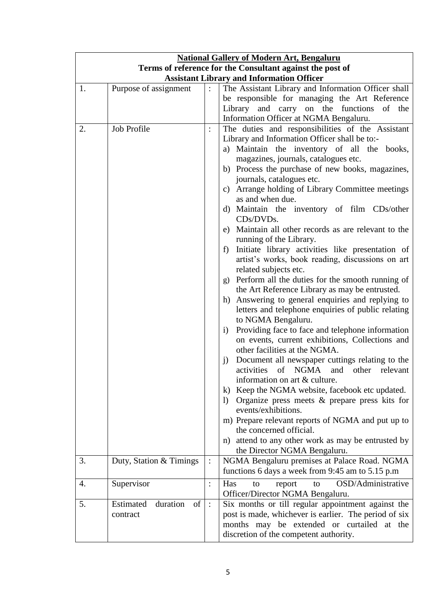| <b>National Gallery of Modern Art, Bengaluru</b> |                                                           |                |                                                                      |  |  |
|--------------------------------------------------|-----------------------------------------------------------|----------------|----------------------------------------------------------------------|--|--|
|                                                  | Terms of reference for the Consultant against the post of |                |                                                                      |  |  |
| <b>Assistant Library and Information Officer</b> |                                                           |                |                                                                      |  |  |
| 1.                                               | Purpose of assignment                                     | $\ddot{\cdot}$ | The Assistant Library and Information Officer shall                  |  |  |
|                                                  |                                                           |                | be responsible for managing the Art Reference                        |  |  |
|                                                  |                                                           |                | Library and carry on the functions of the                            |  |  |
|                                                  |                                                           |                | Information Officer at NGMA Bengaluru.                               |  |  |
| 2.                                               | <b>Job Profile</b>                                        |                | The duties and responsibilities of the Assistant                     |  |  |
|                                                  |                                                           |                | Library and Information Officer shall be to:-                        |  |  |
|                                                  |                                                           |                | a) Maintain the inventory of all the books,                          |  |  |
|                                                  |                                                           |                | magazines, journals, catalogues etc.                                 |  |  |
|                                                  |                                                           |                | b) Process the purchase of new books, magazines,                     |  |  |
|                                                  |                                                           |                | journals, catalogues etc.                                            |  |  |
|                                                  |                                                           |                | c) Arrange holding of Library Committee meetings                     |  |  |
|                                                  |                                                           |                | as and when due.                                                     |  |  |
|                                                  |                                                           |                |                                                                      |  |  |
|                                                  |                                                           |                | d) Maintain the inventory of film CDs/other<br>CDs/DVDs.             |  |  |
|                                                  |                                                           |                | e) Maintain all other records as are relevant to the                 |  |  |
|                                                  |                                                           |                | running of the Library.                                              |  |  |
|                                                  |                                                           |                | Initiate library activities like presentation of<br>f                |  |  |
|                                                  |                                                           |                |                                                                      |  |  |
|                                                  |                                                           |                | artist's works, book reading, discussions on art                     |  |  |
|                                                  |                                                           |                | related subjects etc.                                                |  |  |
|                                                  |                                                           |                | g) Perform all the duties for the smooth running of                  |  |  |
|                                                  |                                                           |                | the Art Reference Library as may be entrusted.                       |  |  |
|                                                  |                                                           |                | Answering to general enquiries and replying to<br>h)                 |  |  |
|                                                  |                                                           |                | letters and telephone enquiries of public relating                   |  |  |
|                                                  |                                                           |                | to NGMA Bengaluru.                                                   |  |  |
|                                                  |                                                           |                | Providing face to face and telephone information<br>i)               |  |  |
|                                                  |                                                           |                | on events, current exhibitions, Collections and                      |  |  |
|                                                  |                                                           |                | other facilities at the NGMA.                                        |  |  |
|                                                  |                                                           |                | Document all newspaper cuttings relating to the<br>j)                |  |  |
|                                                  |                                                           |                | activities of NGMA and other relevant                                |  |  |
|                                                  |                                                           |                | information on art & culture.                                        |  |  |
|                                                  |                                                           |                | Keep the NGMA website, facebook etc updated.<br>k)                   |  |  |
|                                                  |                                                           |                | Organize press meets $\&$ prepare press kits for<br>$\left( \right)$ |  |  |
|                                                  |                                                           |                | events/exhibitions.                                                  |  |  |
|                                                  |                                                           |                | m) Prepare relevant reports of NGMA and put up to                    |  |  |
|                                                  |                                                           |                | the concerned official.                                              |  |  |
|                                                  |                                                           |                | attend to any other work as may be entrusted by<br>n)                |  |  |
|                                                  |                                                           |                | the Director NGMA Bengaluru.                                         |  |  |
| 3.                                               | Duty, Station & Timings                                   | $\ddot{\cdot}$ | NGMA Bengaluru premises at Palace Road. NGMA                         |  |  |
|                                                  |                                                           |                | functions 6 days a week from 9:45 am to 5.15 p.m                     |  |  |
| 4.                                               |                                                           |                | OSD/Administrative                                                   |  |  |
|                                                  | Supervisor                                                | $\ddot{\cdot}$ | Has<br>report<br>to<br>to                                            |  |  |
|                                                  |                                                           |                | Officer/Director NGMA Bengaluru.                                     |  |  |
| 5.                                               | duration<br>Estimated<br>of                               | $\cdot$ :      | Six months or till regular appointment against the                   |  |  |
|                                                  | contract                                                  |                | post is made, whichever is earlier. The period of six                |  |  |
|                                                  |                                                           |                | months may be extended or curtailed at the                           |  |  |
|                                                  |                                                           |                | discretion of the competent authority.                               |  |  |